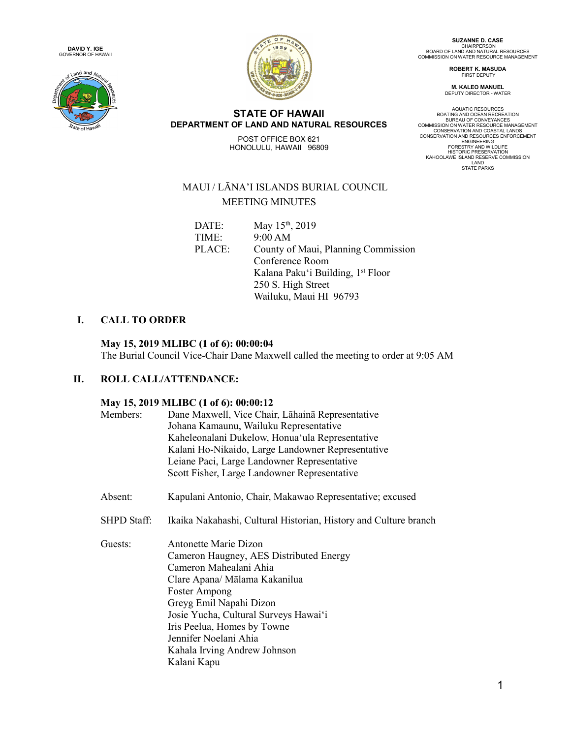





**STATE OF HAWAII DEPARTMENT OF LAND AND NATURAL RESOURCES** POST OFFICE BOX 621 HONOLULU, HAWAII 96809

**SUZANNE D. CASE<br>CHAIRPERSON<br>BOARD OF LAND AND NATURAL RESOURCES<br>COMMISSION ON WATER RESOURCE MANAGEMENT** 

**ROBERT K. MASUDA** FIRST DEPUTY

**M. KALEO MANUEL** DEPUTY DIRECTOR - WATER

AQUATIC RESOURCES<br>BOATING AND OCEAN RECREATION<br>BUREAU OF CONVEYANCES<br>COMMISSION ON WATER RESOURCE MANAGEMENT<br>CONSERVATION AND COASTAL LANDS<br>CONSERVATION AND RESOURCES ENFORCEMENT<br>ENGINEERING FORESTRY AND WILDLIFE<br>HISTORIC PRESERVATION<br>LAND<br>LAND LAND HISTATE PARKS<br>STATE PARKS

# MAUI / LĀNA'I ISLANDS BURIAL COUNCIL MEETING MINUTES

| DATE:  | May 15 <sup>th</sup> , 2019                   |
|--------|-----------------------------------------------|
| TIME:  | 9:00 AM                                       |
| PLACE: | County of Maui, Planning Commission           |
|        | Conference Room                               |
|        | Kalana Paku'i Building, 1 <sup>st</sup> Floor |
|        | 250 S. High Street                            |
|        | Wailuku, Maui HI 96793                        |
|        |                                               |

## **I. CALL TO ORDER**

#### **May 15, 2019 MLIBC (1 of 6): 00:00:04**

The Burial Council Vice-Chair Dane Maxwell called the meeting to order at 9:05 AM

### **II. ROLL CALL/ATTENDANCE:**

#### **May 15, 2019 MLIBC (1 of 6): 00:00:12**

|             | $\frac{1}{4}$ $\frac{1}{4}$ $\frac{1}{4}$ $\frac{1}{4}$ $\frac{1}{4}$ $\frac{1}{4}$ $\frac{1}{4}$ $\frac{1}{4}$ $\frac{1}{4}$ $\frac{1}{4}$ $\frac{1}{4}$ $\frac{1}{4}$ $\frac{1}{4}$ $\frac{1}{4}$ $\frac{1}{4}$ $\frac{1}{4}$ $\frac{1}{4}$ $\frac{1}{4}$ $\frac{1}{4}$ $\frac{1}{4}$ $\frac{1}{4}$ $\frac{1}{4}$ |
|-------------|---------------------------------------------------------------------------------------------------------------------------------------------------------------------------------------------------------------------------------------------------------------------------------------------------------------------|
| Members:    | Dane Maxwell, Vice Chair, Lahaina Representative                                                                                                                                                                                                                                                                    |
|             | Johana Kamaunu, Wailuku Representative                                                                                                                                                                                                                                                                              |
|             | Kaheleonalani Dukelow, Honua'ula Representative                                                                                                                                                                                                                                                                     |
|             | Kalani Ho-Nikaido, Large Landowner Representative                                                                                                                                                                                                                                                                   |
|             | Leiane Paci, Large Landowner Representative                                                                                                                                                                                                                                                                         |
|             | Scott Fisher, Large Landowner Representative                                                                                                                                                                                                                                                                        |
| Absent:     | Kapulani Antonio, Chair, Makawao Representative; excused                                                                                                                                                                                                                                                            |
| SHPD Staff: | Ikaika Nakahashi, Cultural Historian, History and Culture branch                                                                                                                                                                                                                                                    |
| Guests:     | Antonette Marie Dizon                                                                                                                                                                                                                                                                                               |
|             | Cameron Haugney, AES Distributed Energy                                                                                                                                                                                                                                                                             |
|             | Cameron Mahealani Ahia                                                                                                                                                                                                                                                                                              |
|             | Clare Apana/ Mālama Kakanilua                                                                                                                                                                                                                                                                                       |
|             | Foster Ampong                                                                                                                                                                                                                                                                                                       |
|             | Greyg Emil Napahi Dizon                                                                                                                                                                                                                                                                                             |
|             | Josie Yucha, Cultural Surveys Hawai'i                                                                                                                                                                                                                                                                               |
|             | Iris Peelua, Homes by Towne                                                                                                                                                                                                                                                                                         |
|             |                                                                                                                                                                                                                                                                                                                     |
|             |                                                                                                                                                                                                                                                                                                                     |
|             |                                                                                                                                                                                                                                                                                                                     |
|             | Jennifer Noelani Ahia<br>Kahala Irving Andrew Johnson<br>Kalani Kapu                                                                                                                                                                                                                                                |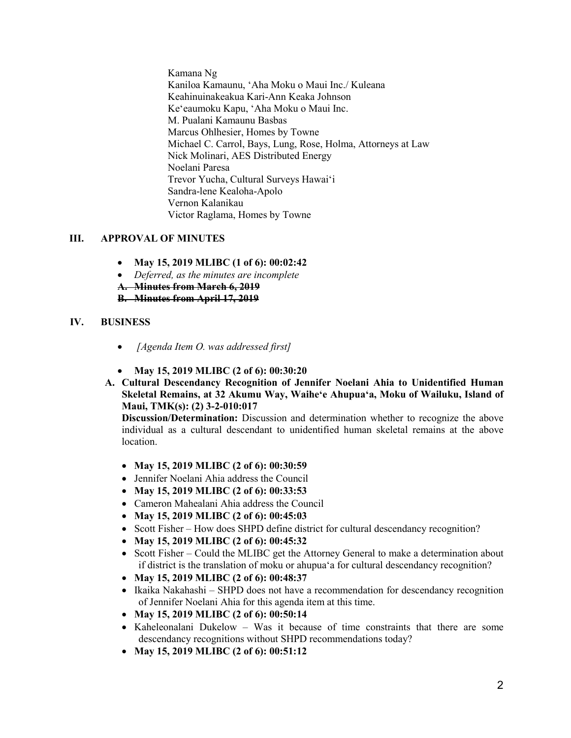Kamana Ng Kaniloa Kamaunu, ʻAha Moku o Maui Inc./ Kuleana Keahinuinakeakua Kari-Ann Keaka Johnson Keʻeaumoku Kapu, ʻAha Moku o Maui Inc. M. Pualani Kamaunu Basbas Marcus Ohlhesier, Homes by Towne Michael C. Carrol, Bays, Lung, Rose, Holma, Attorneys at Law Nick Molinari, AES Distributed Energy Noelani Paresa Trevor Yucha, Cultural Surveys Hawaiʻi Sandra-lene Kealoha-Apolo Vernon Kalanikau Victor Raglama, Homes by Towne

#### **III. APPROVAL OF MINUTES**

- **May 15, 2019 MLIBC (1 of 6): 00:02:42**
- *Deferred, as the minutes are incomplete*
- **A. Minutes from March 6, 2019**

**B. Minutes from April 17, 2019**

#### **IV. BUSINESS**

- *[Agenda Item O. was addressed first]*
- **May 15, 2019 MLIBC (2 of 6): 00:30:20**
- **A. Cultural Descendancy Recognition of Jennifer Noelani Ahia to Unidentified Human Skeletal Remains, at 32 Akumu Way, Waiheʻe Ahupuaʻa, Moku of Wailuku, Island of Maui, TMK(s): (2) 3-2-010:017**

- **May 15, 2019 MLIBC (2 of 6): 00:30:59**
- Jennifer Noelani Ahia address the Council
- **May 15, 2019 MLIBC (2 of 6): 00:33:53**
- Cameron Mahealani Ahia address the Council
- **May 15, 2019 MLIBC (2 of 6): 00:45:03**
- Scott Fisher How does SHPD define district for cultural descendancy recognition?
- **May 15, 2019 MLIBC (2 of 6): 00:45:32**
- Scott Fisher Could the MLIBC get the Attorney General to make a determination about if district is the translation of moku or ahupuaʻa for cultural descendancy recognition?
- **May 15, 2019 MLIBC (2 of 6): 00:48:37**
- Ikaika Nakahashi SHPD does not have a recommendation for descendancy recognition of Jennifer Noelani Ahia for this agenda item at this time.
- **May 15, 2019 MLIBC (2 of 6): 00:50:14**
- Kaheleonalani Dukelow Was it because of time constraints that there are some descendancy recognitions without SHPD recommendations today?
- **May 15, 2019 MLIBC (2 of 6): 00:51:12**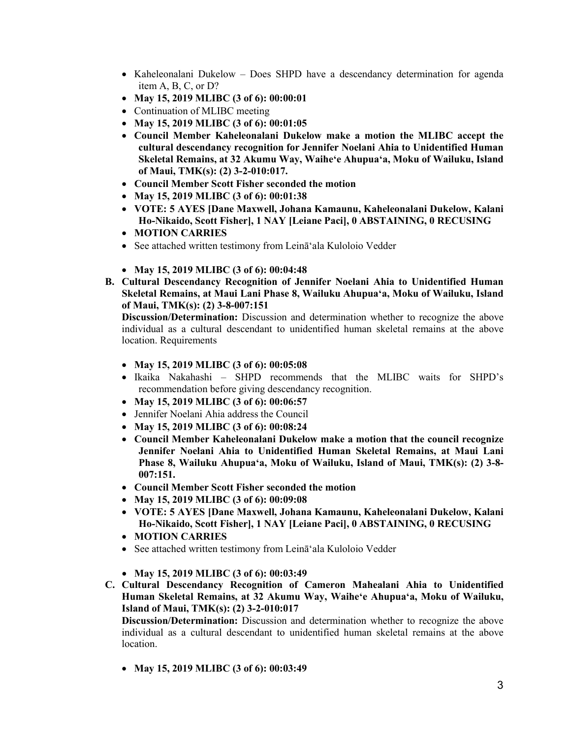- Kaheleonalani Dukelow Does SHPD have a descendancy determination for agenda item A, B, C, or D?
- **May 15, 2019 MLIBC (3 of 6): 00:00:01**
- Continuation of MLIBC meeting
- **May 15, 2019 MLIBC (3 of 6): 00:01:05**
- **Council Member Kaheleonalani Dukelow make a motion the MLIBC accept the cultural descendancy recognition for Jennifer Noelani Ahia to Unidentified Human Skeletal Remains, at 32 Akumu Way, Waiheʻe Ahupuaʻa, Moku of Wailuku, Island of Maui, TMK(s): (2) 3-2-010:017.**
- **Council Member Scott Fisher seconded the motion**
- **May 15, 2019 MLIBC (3 of 6): 00:01:38**
- **VOTE: 5 AYES [Dane Maxwell, Johana Kamaunu, Kaheleonalani Dukelow, Kalani Ho-Nikaido, Scott Fisher], 1 NAY [Leiane Paci], 0 ABSTAINING, 0 RECUSING**
- **MOTION CARRIES**
- See attached written testimony from Leināʻala Kuloloio Vedder
- **May 15, 2019 MLIBC (3 of 6): 00:04:48**
- **B. Cultural Descendancy Recognition of Jennifer Noelani Ahia to Unidentified Human Skeletal Remains, at Maui Lani Phase 8, Wailuku Ahupuaʻa, Moku of Wailuku, Island of Maui, TMK(s): (2) 3-8-007:151**

- **May 15, 2019 MLIBC (3 of 6): 00:05:08**
- Ikaika Nakahashi SHPD recommends that the MLIBC waits for SHPD's recommendation before giving descendancy recognition.
- **May 15, 2019 MLIBC (3 of 6): 00:06:57**
- Jennifer Noelani Ahia address the Council
- **May 15, 2019 MLIBC (3 of 6): 00:08:24**
- **Council Member Kaheleonalani Dukelow make a motion that the council recognize Jennifer Noelani Ahia to Unidentified Human Skeletal Remains, at Maui Lani Phase 8, Wailuku Ahupuaʻa, Moku of Wailuku, Island of Maui, TMK(s): (2) 3-8- 007:151.**
- **Council Member Scott Fisher seconded the motion**
- **May 15, 2019 MLIBC (3 of 6): 00:09:08**
- **VOTE: 5 AYES [Dane Maxwell, Johana Kamaunu, Kaheleonalani Dukelow, Kalani Ho-Nikaido, Scott Fisher], 1 NAY [Leiane Paci], 0 ABSTAINING, 0 RECUSING**
- **MOTION CARRIES**
- See attached written testimony from Leināʻala Kuloloio Vedder
- **May 15, 2019 MLIBC (3 of 6): 00:03:49**
- **C. Cultural Descendancy Recognition of Cameron Mahealani Ahia to Unidentified Human Skeletal Remains, at 32 Akumu Way, Waiheʻe Ahupuaʻa, Moku of Wailuku, Island of Maui, TMK(s): (2) 3-2-010:017**

**Discussion/Determination:** Discussion and determination whether to recognize the above individual as a cultural descendant to unidentified human skeletal remains at the above location.

• **May 15, 2019 MLIBC (3 of 6): 00:03:49**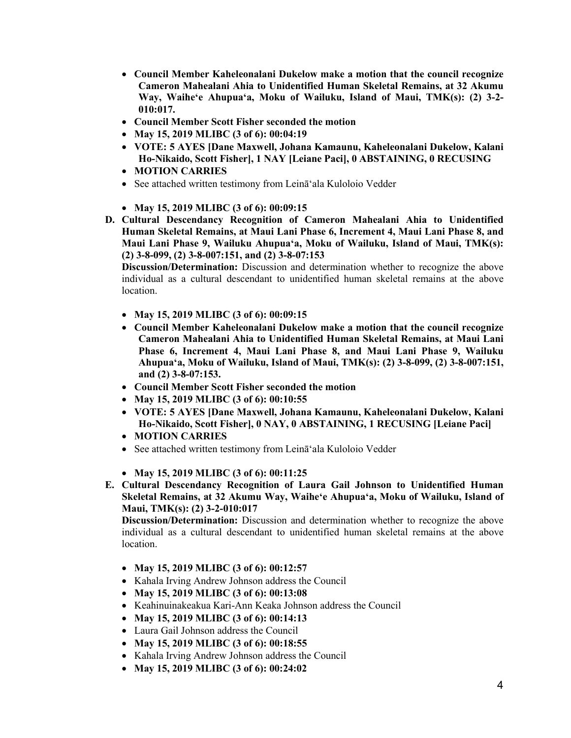- **Council Member Kaheleonalani Dukelow make a motion that the council recognize Cameron Mahealani Ahia to Unidentified Human Skeletal Remains, at 32 Akumu Way, Waiheʻe Ahupuaʻa, Moku of Wailuku, Island of Maui, TMK(s): (2) 3-2- 010:017.**
- **Council Member Scott Fisher seconded the motion**
- **May 15, 2019 MLIBC (3 of 6): 00:04:19**
- **VOTE: 5 AYES [Dane Maxwell, Johana Kamaunu, Kaheleonalani Dukelow, Kalani Ho-Nikaido, Scott Fisher], 1 NAY [Leiane Paci], 0 ABSTAINING, 0 RECUSING**
- **MOTION CARRIES**
- See attached written testimony from Leināʻala Kuloloio Vedder
- **May 15, 2019 MLIBC (3 of 6): 00:09:15**
- **D. Cultural Descendancy Recognition of Cameron Mahealani Ahia to Unidentified Human Skeletal Remains, at Maui Lani Phase 6, Increment 4, Maui Lani Phase 8, and Maui Lani Phase 9, Wailuku Ahupuaʻa, Moku of Wailuku, Island of Maui, TMK(s): (2) 3-8-099, (2) 3-8-007:151, and (2) 3-8-07:153**

- **May 15, 2019 MLIBC (3 of 6): 00:09:15**
- **Council Member Kaheleonalani Dukelow make a motion that the council recognize Cameron Mahealani Ahia to Unidentified Human Skeletal Remains, at Maui Lani Phase 6, Increment 4, Maui Lani Phase 8, and Maui Lani Phase 9, Wailuku Ahupuaʻa, Moku of Wailuku, Island of Maui, TMK(s): (2) 3-8-099, (2) 3-8-007:151, and (2) 3-8-07:153.**
- **Council Member Scott Fisher seconded the motion**
- **May 15, 2019 MLIBC (3 of 6): 00:10:55**
- **VOTE: 5 AYES [Dane Maxwell, Johana Kamaunu, Kaheleonalani Dukelow, Kalani Ho-Nikaido, Scott Fisher], 0 NAY, 0 ABSTAINING, 1 RECUSING [Leiane Paci]**
- **MOTION CARRIES**
- See attached written testimony from Leināʻala Kuloloio Vedder
- **May 15, 2019 MLIBC (3 of 6): 00:11:25**
- **E. Cultural Descendancy Recognition of Laura Gail Johnson to Unidentified Human Skeletal Remains, at 32 Akumu Way, Waiheʻe Ahupuaʻa, Moku of Wailuku, Island of Maui, TMK(s): (2) 3-2-010:017**

- **May 15, 2019 MLIBC (3 of 6): 00:12:57**
- Kahala Irving Andrew Johnson address the Council
- **May 15, 2019 MLIBC (3 of 6): 00:13:08**
- Keahinuinakeakua Kari-Ann Keaka Johnson address the Council
- **May 15, 2019 MLIBC (3 of 6): 00:14:13**
- Laura Gail Johnson address the Council
- **May 15, 2019 MLIBC (3 of 6): 00:18:55**
- Kahala Irving Andrew Johnson address the Council
- **May 15, 2019 MLIBC (3 of 6): 00:24:02**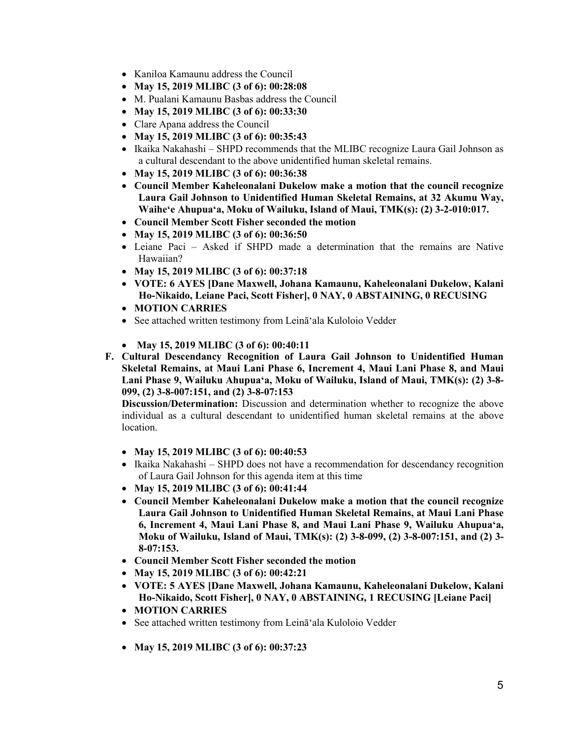- Kaniloa Kamaunu address the Council
- **May 15, 2019 MLIBC (3 of 6): 00:28:08**
- M. Pualani Kamaunu Basbas address the Council
- **May 15, 2019 MLIBC (3 of 6): 00:33:30**
- Clare Apana address the Council
- **May 15, 2019 MLIBC (3 of 6): 00:35:43**
- Ikaika Nakahashi SHPD recommends that the MLIBC recognize Laura Gail Johnson as a cultural descendant to the above unidentified human skeletal remains.
- **May 15, 2019 MLIBC (3 of 6): 00:36:38**
- **Council Member Kaheleonalani Dukelow make a motion that the council recognize Laura Gail Johnson to Unidentified Human Skeletal Remains, at 32 Akumu Way, Waiheʻe Ahupuaʻa, Moku of Wailuku, Island of Maui, TMK(s): (2) 3-2-010:017.**
- **Council Member Scott Fisher seconded the motion**
- **May 15, 2019 MLIBC (3 of 6): 00:36:50**
- Leiane Paci Asked if SHPD made a determination that the remains are Native Hawaiian?
- **May 15, 2019 MLIBC (3 of 6): 00:37:18**
- **VOTE: 6 AYES [Dane Maxwell, Johana Kamaunu, Kaheleonalani Dukelow, Kalani Ho-Nikaido, Leiane Paci, Scott Fisher], 0 NAY, 0 ABSTAINING, 0 RECUSING**
- **MOTION CARRIES**
- See attached written testimony from Leināʻala Kuloloio Vedder
- **May 15, 2019 MLIBC (3 of 6): 00:40:11**
- **F. Cultural Descendancy Recognition of Laura Gail Johnson to Unidentified Human Skeletal Remains, at Maui Lani Phase 6, Increment 4, Maui Lani Phase 8, and Maui Lani Phase 9, Wailuku Ahupuaʻa, Moku of Wailuku, Island of Maui, TMK(s): (2) 3-8- 099, (2) 3-8-007:151, and (2) 3-8-07:153**

- **May 15, 2019 MLIBC (3 of 6): 00:40:53**
- Ikaika Nakahashi SHPD does not have a recommendation for descendancy recognition of Laura Gail Johnson for this agenda item at this time
- **May 15, 2019 MLIBC (3 of 6): 00:41:44**
- **Council Member Kaheleonalani Dukelow make a motion that the council recognize Laura Gail Johnson to Unidentified Human Skeletal Remains, at Maui Lani Phase 6, Increment 4, Maui Lani Phase 8, and Maui Lani Phase 9, Wailuku Ahupuaʻa, Moku of Wailuku, Island of Maui, TMK(s): (2) 3-8-099, (2) 3-8-007:151, and (2) 3- 8-07:153.**
- **Council Member Scott Fisher seconded the motion**
- **May 15, 2019 MLIBC (3 of 6): 00:42:21**
- **VOTE: 5 AYES [Dane Maxwell, Johana Kamaunu, Kaheleonalani Dukelow, Kalani Ho-Nikaido, Scott Fisher], 0 NAY, 0 ABSTAINING, 1 RECUSING [Leiane Paci]**
- **MOTION CARRIES**
- See attached written testimony from Leināʻala Kuloloio Vedder
- **May 15, 2019 MLIBC (3 of 6): 00:37:23**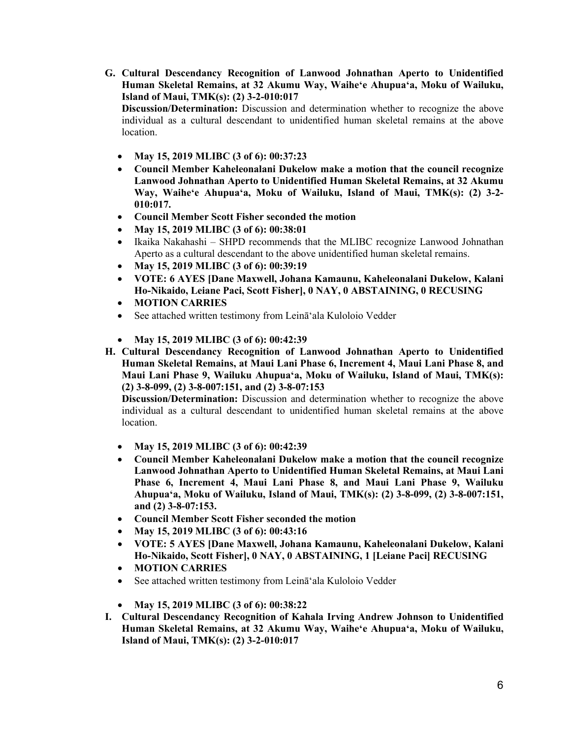**G. Cultural Descendancy Recognition of Lanwood Johnathan Aperto to Unidentified Human Skeletal Remains, at 32 Akumu Way, Waiheʻe Ahupuaʻa, Moku of Wailuku, Island of Maui, TMK(s): (2) 3-2-010:017** 

**Discussion/Determination:** Discussion and determination whether to recognize the above individual as a cultural descendant to unidentified human skeletal remains at the above location.

- **May 15, 2019 MLIBC (3 of 6): 00:37:23**
- **Council Member Kaheleonalani Dukelow make a motion that the council recognize Lanwood Johnathan Aperto to Unidentified Human Skeletal Remains, at 32 Akumu Way, Waiheʻe Ahupuaʻa, Moku of Wailuku, Island of Maui, TMK(s): (2) 3-2- 010:017.**
- **Council Member Scott Fisher seconded the motion**
- **May 15, 2019 MLIBC (3 of 6): 00:38:01**
- Ikaika Nakahashi SHPD recommends that the MLIBC recognize Lanwood Johnathan Aperto as a cultural descendant to the above unidentified human skeletal remains.
- **May 15, 2019 MLIBC (3 of 6): 00:39:19**
- **VOTE: 6 AYES [Dane Maxwell, Johana Kamaunu, Kaheleonalani Dukelow, Kalani Ho-Nikaido, Leiane Paci, Scott Fisher], 0 NAY, 0 ABSTAINING, 0 RECUSING**
- **MOTION CARRIES**
- See attached written testimony from Leināʻala Kuloloio Vedder
- **May 15, 2019 MLIBC (3 of 6): 00:42:39**
- **H. Cultural Descendancy Recognition of Lanwood Johnathan Aperto to Unidentified Human Skeletal Remains, at Maui Lani Phase 6, Increment 4, Maui Lani Phase 8, and Maui Lani Phase 9, Wailuku Ahupuaʻa, Moku of Wailuku, Island of Maui, TMK(s): (2) 3-8-099, (2) 3-8-007:151, and (2) 3-8-07:153**

- **May 15, 2019 MLIBC (3 of 6): 00:42:39**
- **Council Member Kaheleonalani Dukelow make a motion that the council recognize Lanwood Johnathan Aperto to Unidentified Human Skeletal Remains, at Maui Lani Phase 6, Increment 4, Maui Lani Phase 8, and Maui Lani Phase 9, Wailuku Ahupuaʻa, Moku of Wailuku, Island of Maui, TMK(s): (2) 3-8-099, (2) 3-8-007:151, and (2) 3-8-07:153.**
- **Council Member Scott Fisher seconded the motion**
- **May 15, 2019 MLIBC (3 of 6): 00:43:16**
- **VOTE: 5 AYES [Dane Maxwell, Johana Kamaunu, Kaheleonalani Dukelow, Kalani Ho-Nikaido, Scott Fisher], 0 NAY, 0 ABSTAINING, 1 [Leiane Paci] RECUSING**
- **MOTION CARRIES**
- See attached written testimony from Leinā ala Kuloloio Vedder
- **May 15, 2019 MLIBC (3 of 6): 00:38:22**
- **I. Cultural Descendancy Recognition of Kahala Irving Andrew Johnson to Unidentified Human Skeletal Remains, at 32 Akumu Way, Waiheʻe Ahupuaʻa, Moku of Wailuku, Island of Maui, TMK(s): (2) 3-2-010:017**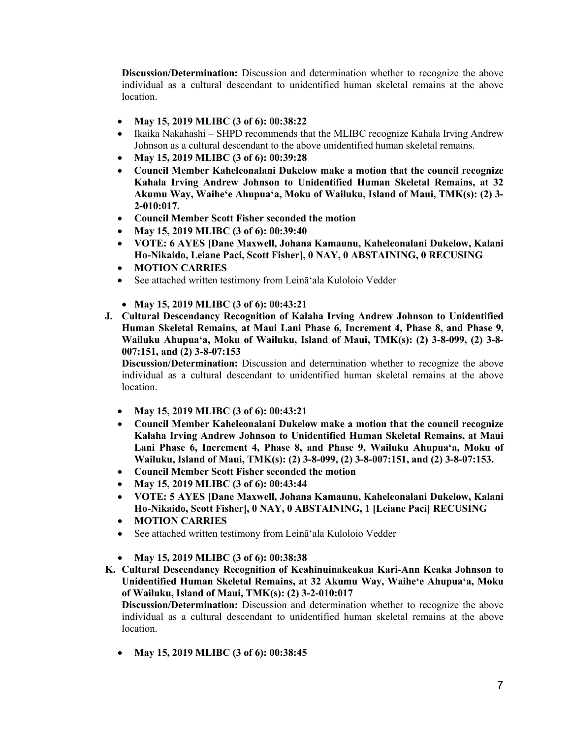- **May 15, 2019 MLIBC (3 of 6): 00:38:22**
- Ikaika Nakahashi SHPD recommends that the MLIBC recognize Kahala Irving Andrew Johnson as a cultural descendant to the above unidentified human skeletal remains.
- **May 15, 2019 MLIBC (3 of 6): 00:39:28**
- **Council Member Kaheleonalani Dukelow make a motion that the council recognize Kahala Irving Andrew Johnson to Unidentified Human Skeletal Remains, at 32 Akumu Way, Waiheʻe Ahupuaʻa, Moku of Wailuku, Island of Maui, TMK(s): (2) 3- 2-010:017.**
- **Council Member Scott Fisher seconded the motion**
- **May 15, 2019 MLIBC (3 of 6): 00:39:40**
- **VOTE: 6 AYES [Dane Maxwell, Johana Kamaunu, Kaheleonalani Dukelow, Kalani Ho-Nikaido, Leiane Paci, Scott Fisher], 0 NAY, 0 ABSTAINING, 0 RECUSING**
- **MOTION CARRIES**
- See attached written testimony from Leināʻala Kuloloio Vedder
- **May 15, 2019 MLIBC (3 of 6): 00:43:21**
- **J. Cultural Descendancy Recognition of Kalaha Irving Andrew Johnson to Unidentified Human Skeletal Remains, at Maui Lani Phase 6, Increment 4, Phase 8, and Phase 9, Wailuku Ahupuaʻa, Moku of Wailuku, Island of Maui, TMK(s): (2) 3-8-099, (2) 3-8- 007:151, and (2) 3-8-07:153**

**Discussion/Determination:** Discussion and determination whether to recognize the above individual as a cultural descendant to unidentified human skeletal remains at the above location.

- **May 15, 2019 MLIBC (3 of 6): 00:43:21**
- **Council Member Kaheleonalani Dukelow make a motion that the council recognize Kalaha Irving Andrew Johnson to Unidentified Human Skeletal Remains, at Maui Lani Phase 6, Increment 4, Phase 8, and Phase 9, Wailuku Ahupuaʻa, Moku of Wailuku, Island of Maui, TMK(s): (2) 3-8-099, (2) 3-8-007:151, and (2) 3-8-07:153.**
- **Council Member Scott Fisher seconded the motion**
- **May 15, 2019 MLIBC (3 of 6): 00:43:44**
- **VOTE: 5 AYES [Dane Maxwell, Johana Kamaunu, Kaheleonalani Dukelow, Kalani Ho-Nikaido, Scott Fisher], 0 NAY, 0 ABSTAINING, 1 [Leiane Paci] RECUSING**
- **MOTION CARRIES**
- See attached written testimony from Leināʻala Kuloloio Vedder
- **May 15, 2019 MLIBC (3 of 6): 00:38:38**
- **K. Cultural Descendancy Recognition of Keahinuinakeakua Kari-Ann Keaka Johnson to Unidentified Human Skeletal Remains, at 32 Akumu Way, Waiheʻe Ahupuaʻa, Moku of Wailuku, Island of Maui, TMK(s): (2) 3-2-010:017**

**Discussion/Determination:** Discussion and determination whether to recognize the above individual as a cultural descendant to unidentified human skeletal remains at the above location.

• **May 15, 2019 MLIBC (3 of 6): 00:38:45**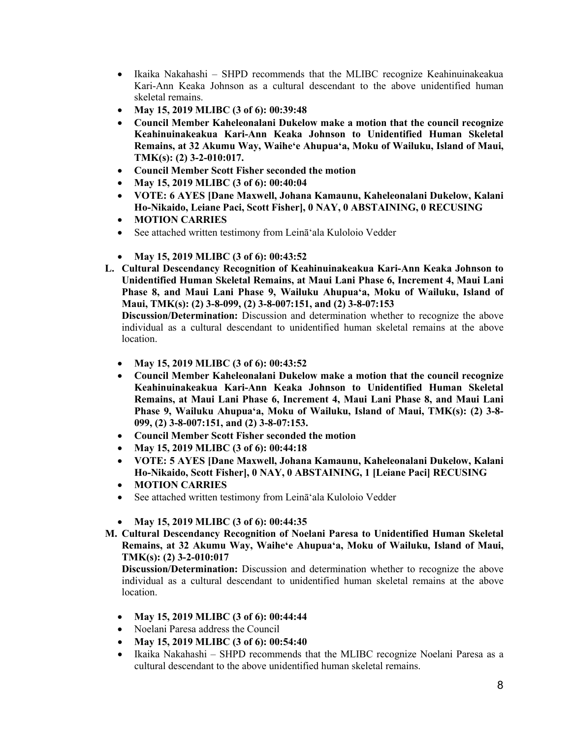- Ikaika Nakahashi SHPD recommends that the MLIBC recognize Keahinuinakeakua Kari-Ann Keaka Johnson as a cultural descendant to the above unidentified human skeletal remains.
- **May 15, 2019 MLIBC (3 of 6): 00:39:48**
- **Council Member Kaheleonalani Dukelow make a motion that the council recognize Keahinuinakeakua Kari-Ann Keaka Johnson to Unidentified Human Skeletal Remains, at 32 Akumu Way, Waiheʻe Ahupuaʻa, Moku of Wailuku, Island of Maui, TMK(s): (2) 3-2-010:017.**
- **Council Member Scott Fisher seconded the motion**
- **May 15, 2019 MLIBC (3 of 6): 00:40:04**
- **VOTE: 6 AYES [Dane Maxwell, Johana Kamaunu, Kaheleonalani Dukelow, Kalani Ho-Nikaido, Leiane Paci, Scott Fisher], 0 NAY, 0 ABSTAINING, 0 RECUSING**
- **MOTION CARRIES**
- See attached written testimony from Leināʻala Kuloloio Vedder
- **May 15, 2019 MLIBC (3 of 6): 00:43:52**
- **L. Cultural Descendancy Recognition of Keahinuinakeakua Kari-Ann Keaka Johnson to Unidentified Human Skeletal Remains, at Maui Lani Phase 6, Increment 4, Maui Lani Phase 8, and Maui Lani Phase 9, Wailuku Ahupuaʻa, Moku of Wailuku, Island of Maui, TMK(s): (2) 3-8-099, (2) 3-8-007:151, and (2) 3-8-07:153**

- **May 15, 2019 MLIBC (3 of 6): 00:43:52**
- **Council Member Kaheleonalani Dukelow make a motion that the council recognize Keahinuinakeakua Kari-Ann Keaka Johnson to Unidentified Human Skeletal Remains, at Maui Lani Phase 6, Increment 4, Maui Lani Phase 8, and Maui Lani Phase 9, Wailuku Ahupuaʻa, Moku of Wailuku, Island of Maui, TMK(s): (2) 3-8- 099, (2) 3-8-007:151, and (2) 3-8-07:153.**
- **Council Member Scott Fisher seconded the motion**
- **May 15, 2019 MLIBC (3 of 6): 00:44:18**
- **VOTE: 5 AYES [Dane Maxwell, Johana Kamaunu, Kaheleonalani Dukelow, Kalani Ho-Nikaido, Scott Fisher], 0 NAY, 0 ABSTAINING, 1 [Leiane Paci] RECUSING**
- **MOTION CARRIES**
- See attached written testimony from Leināʻala Kuloloio Vedder
- **May 15, 2019 MLIBC (3 of 6): 00:44:35**
- **M. Cultural Descendancy Recognition of Noelani Paresa to Unidentified Human Skeletal Remains, at 32 Akumu Way, Waiheʻe Ahupuaʻa, Moku of Wailuku, Island of Maui, TMK(s): (2) 3-2-010:017**

- **May 15, 2019 MLIBC (3 of 6): 00:44:44**
- Noelani Paresa address the Council
- **May 15, 2019 MLIBC (3 of 6): 00:54:40**
- Ikaika Nakahashi SHPD recommends that the MLIBC recognize Noelani Paresa as a cultural descendant to the above unidentified human skeletal remains.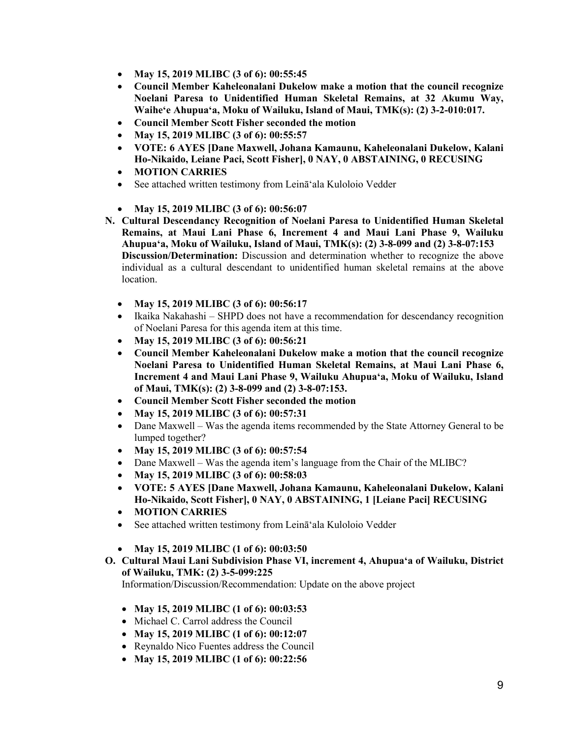- **May 15, 2019 MLIBC (3 of 6): 00:55:45**
- **Council Member Kaheleonalani Dukelow make a motion that the council recognize Noelani Paresa to Unidentified Human Skeletal Remains, at 32 Akumu Way, Waiheʻe Ahupuaʻa, Moku of Wailuku, Island of Maui, TMK(s): (2) 3-2-010:017.**
- **Council Member Scott Fisher seconded the motion**
- **May 15, 2019 MLIBC (3 of 6): 00:55:57**
- **VOTE: 6 AYES [Dane Maxwell, Johana Kamaunu, Kaheleonalani Dukelow, Kalani Ho-Nikaido, Leiane Paci, Scott Fisher], 0 NAY, 0 ABSTAINING, 0 RECUSING**
- **MOTION CARRIES**
- See attached written testimony from Leināʻala Kuloloio Vedder
- **May 15, 2019 MLIBC (3 of 6): 00:56:07**
- **N. Cultural Descendancy Recognition of Noelani Paresa to Unidentified Human Skeletal Remains, at Maui Lani Phase 6, Increment 4 and Maui Lani Phase 9, Wailuku Ahupuaʻa, Moku of Wailuku, Island of Maui, TMK(s): (2) 3-8-099 and (2) 3-8-07:153 Discussion/Determination:** Discussion and determination whether to recognize the above individual as a cultural descendant to unidentified human skeletal remains at the above location.
	- **May 15, 2019 MLIBC (3 of 6): 00:56:17**
	- Ikaika Nakahashi SHPD does not have a recommendation for descendancy recognition of Noelani Paresa for this agenda item at this time.
	- **May 15, 2019 MLIBC (3 of 6): 00:56:21**
	- **Council Member Kaheleonalani Dukelow make a motion that the council recognize Noelani Paresa to Unidentified Human Skeletal Remains, at Maui Lani Phase 6, Increment 4 and Maui Lani Phase 9, Wailuku Ahupuaʻa, Moku of Wailuku, Island of Maui, TMK(s): (2) 3-8-099 and (2) 3-8-07:153.**
	- **Council Member Scott Fisher seconded the motion**
	- **May 15, 2019 MLIBC (3 of 6): 00:57:31**
	- Dane Maxwell Was the agenda items recommended by the State Attorney General to be lumped together?
	- **May 15, 2019 MLIBC (3 of 6): 00:57:54**
	- Dane Maxwell Was the agenda item's language from the Chair of the MLIBC?
	- **May 15, 2019 MLIBC (3 of 6): 00:58:03**
	- **VOTE: 5 AYES [Dane Maxwell, Johana Kamaunu, Kaheleonalani Dukelow, Kalani Ho-Nikaido, Scott Fisher], 0 NAY, 0 ABSTAINING, 1 [Leiane Paci] RECUSING**
	- **MOTION CARRIES**
	- See attached written testimony from Leināʻala Kuloloio Vedder
	- **May 15, 2019 MLIBC (1 of 6): 00:03:50**
- **O. Cultural Maui Lani Subdivision Phase VI, increment 4, Ahupuaʻa of Wailuku, District of Wailuku, TMK: (2) 3-5-099:225**

Information/Discussion/Recommendation: Update on the above project

- **May 15, 2019 MLIBC (1 of 6): 00:03:53**
- Michael C. Carrol address the Council
- **May 15, 2019 MLIBC (1 of 6): 00:12:07**
- Reynaldo Nico Fuentes address the Council
- **May 15, 2019 MLIBC (1 of 6): 00:22:56**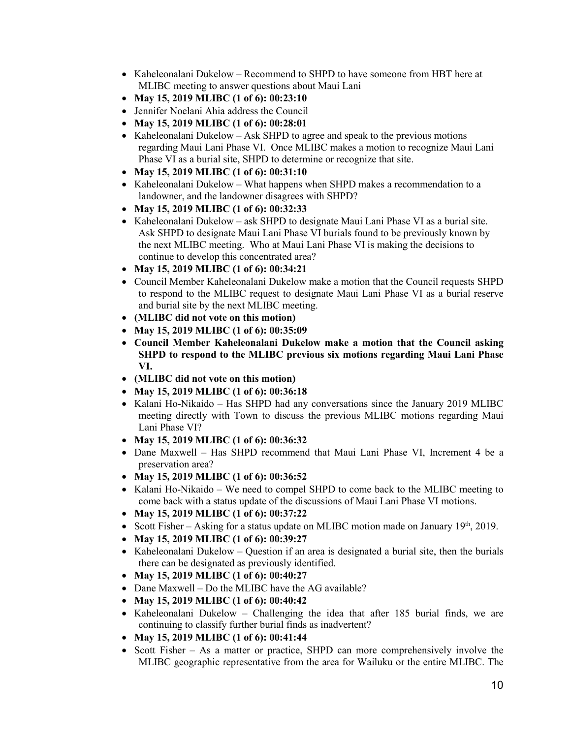- Kaheleonalani Dukelow Recommend to SHPD to have someone from HBT here at MLIBC meeting to answer questions about Maui Lani
- **May 15, 2019 MLIBC (1 of 6): 00:23:10**
- Jennifer Noelani Ahia address the Council
- **May 15, 2019 MLIBC (1 of 6): 00:28:01**
- Kaheleonalani Dukelow Ask SHPD to agree and speak to the previous motions regarding Maui Lani Phase VI. Once MLIBC makes a motion to recognize Maui Lani Phase VI as a burial site, SHPD to determine or recognize that site.
- **May 15, 2019 MLIBC (1 of 6): 00:31:10**
- Kaheleonalani Dukelow What happens when SHPD makes a recommendation to a landowner, and the landowner disagrees with SHPD?
- **May 15, 2019 MLIBC (1 of 6): 00:32:33**
- Kaheleonalani Dukelow ask SHPD to designate Maui Lani Phase VI as a burial site. Ask SHPD to designate Maui Lani Phase VI burials found to be previously known by the next MLIBC meeting. Who at Maui Lani Phase VI is making the decisions to continue to develop this concentrated area?
- **May 15, 2019 MLIBC (1 of 6): 00:34:21**
- Council Member Kaheleonalani Dukelow make a motion that the Council requests SHPD to respond to the MLIBC request to designate Maui Lani Phase VI as a burial reserve and burial site by the next MLIBC meeting.
- **(MLIBC did not vote on this motion)**
- **May 15, 2019 MLIBC (1 of 6): 00:35:09**
- **Council Member Kaheleonalani Dukelow make a motion that the Council asking SHPD to respond to the MLIBC previous six motions regarding Maui Lani Phase VI.**
- **(MLIBC did not vote on this motion)**
- **May 15, 2019 MLIBC (1 of 6): 00:36:18**
- Kalani Ho-Nikaido Has SHPD had any conversations since the January 2019 MLIBC meeting directly with Town to discuss the previous MLIBC motions regarding Maui Lani Phase VI?
- **May 15, 2019 MLIBC (1 of 6): 00:36:32**
- Dane Maxwell Has SHPD recommend that Maui Lani Phase VI, Increment 4 be a preservation area?
- **May 15, 2019 MLIBC (1 of 6): 00:36:52**
- Kalani Ho-Nikaido We need to compel SHPD to come back to the MLIBC meeting to come back with a status update of the discussions of Maui Lani Phase VI motions.
- **May 15, 2019 MLIBC (1 of 6): 00:37:22**
- Scott Fisher Asking for a status update on MLIBC motion made on January  $19<sup>th</sup>$ , 2019.
- **May 15, 2019 MLIBC (1 of 6): 00:39:27**
- Kaheleonalani Dukelow Question if an area is designated a burial site, then the burials there can be designated as previously identified.
- **May 15, 2019 MLIBC (1 of 6): 00:40:27**
- Dane Maxwell Do the MLIBC have the AG available?
- **May 15, 2019 MLIBC (1 of 6): 00:40:42**
- Kaheleonalani Dukelow Challenging the idea that after 185 burial finds, we are continuing to classify further burial finds as inadvertent?
- **May 15, 2019 MLIBC (1 of 6): 00:41:44**
- Scott Fisher As a matter or practice, SHPD can more comprehensively involve the MLIBC geographic representative from the area for Wailuku or the entire MLIBC. The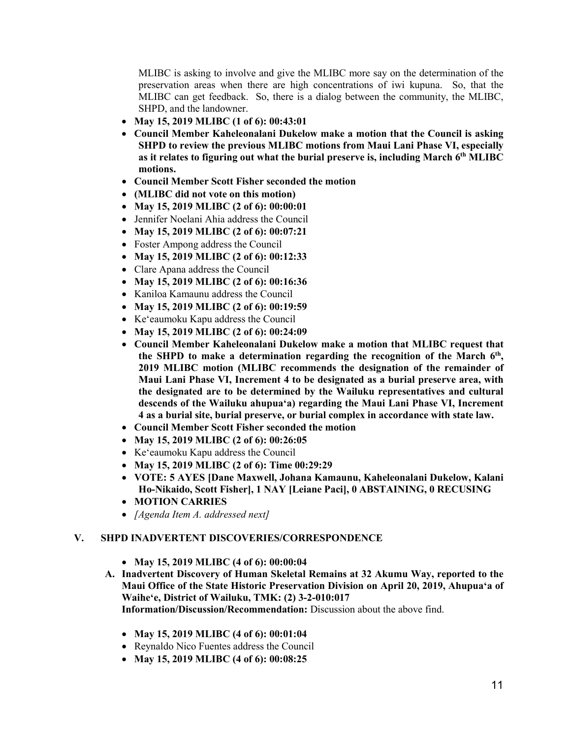MLIBC is asking to involve and give the MLIBC more say on the determination of the preservation areas when there are high concentrations of iwi kupuna. So, that the MLIBC can get feedback. So, there is a dialog between the community, the MLIBC, SHPD, and the landowner.

- **May 15, 2019 MLIBC (1 of 6): 00:43:01**
- **Council Member Kaheleonalani Dukelow make a motion that the Council is asking SHPD to review the previous MLIBC motions from Maui Lani Phase VI, especially**  as it relates to figuring out what the burial preserve is, including March 6<sup>th</sup> MLIBC **motions.**
- **Council Member Scott Fisher seconded the motion**
- **(MLIBC did not vote on this motion)**
- **May 15, 2019 MLIBC (2 of 6): 00:00:01**
- Jennifer Noelani Ahia address the Council
- **May 15, 2019 MLIBC (2 of 6): 00:07:21**
- Foster Ampong address the Council
- **May 15, 2019 MLIBC (2 of 6): 00:12:33**
- Clare Apana address the Council
- **May 15, 2019 MLIBC (2 of 6): 00:16:36**
- Kaniloa Kamaunu address the Council
- **May 15, 2019 MLIBC (2 of 6): 00:19:59**
- Keʻeaumoku Kapu address the Council
- **May 15, 2019 MLIBC (2 of 6): 00:24:09**
- **Council Member Kaheleonalani Dukelow make a motion that MLIBC request that the SHPD to make a determination regarding the recognition of the March 6th, 2019 MLIBC motion (MLIBC recommends the designation of the remainder of Maui Lani Phase VI, Increment 4 to be designated as a burial preserve area, with the designated are to be determined by the Wailuku representatives and cultural descends of the Wailuku ahupuaʻa) regarding the Maui Lani Phase VI, Increment 4 as a burial site, burial preserve, or burial complex in accordance with state law.**
- **Council Member Scott Fisher seconded the motion**
- **May 15, 2019 MLIBC (2 of 6): 00:26:05**
- Keʻeaumoku Kapu address the Council
- **May 15, 2019 MLIBC (2 of 6): Time 00:29:29**
- **VOTE: 5 AYES [Dane Maxwell, Johana Kamaunu, Kaheleonalani Dukelow, Kalani Ho-Nikaido, Scott Fisher], 1 NAY [Leiane Paci], 0 ABSTAINING, 0 RECUSING**
- **MOTION CARRIES**
- *[Agenda Item A. addressed next]*

#### **V. SHPD INADVERTENT DISCOVERIES/CORRESPONDENCE**

- **May 15, 2019 MLIBC (4 of 6): 00:00:04**
- **A. Inadvertent Discovery of Human Skeletal Remains at 32 Akumu Way, reported to the Maui Office of the State Historic Preservation Division on April 20, 2019, Ahupuaʻa of Waiheʻe, District of Wailuku, TMK: (2) 3-2-010:017 Information/Discussion/Recommendation:** Discussion about the above find.
	- **May 15, 2019 MLIBC (4 of 6): 00:01:04**
	- Reynaldo Nico Fuentes address the Council
	- **May 15, 2019 MLIBC (4 of 6): 00:08:25**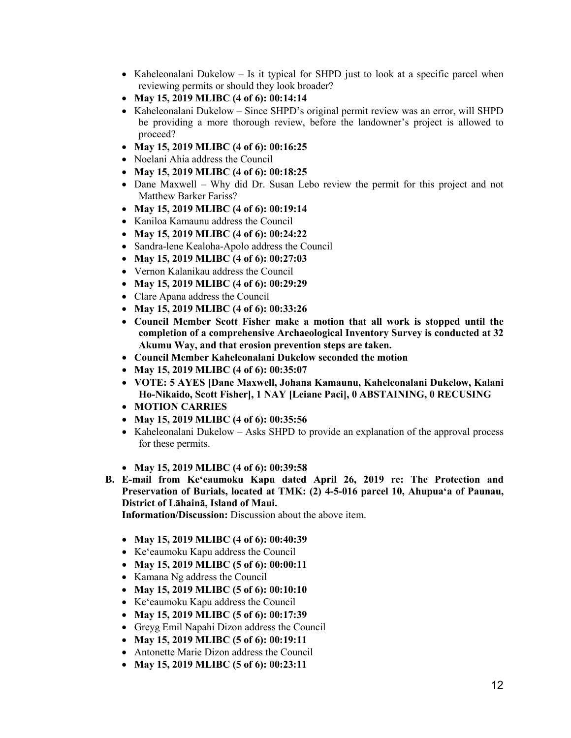- Kaheleonalani Dukelow Is it typical for SHPD just to look at a specific parcel when reviewing permits or should they look broader?
- **May 15, 2019 MLIBC (4 of 6): 00:14:14**
- Kaheleonalani Dukelow Since SHPD's original permit review was an error, will SHPD be providing a more thorough review, before the landowner's project is allowed to proceed?
- **May 15, 2019 MLIBC (4 of 6): 00:16:25**
- Noelani Ahia address the Council
- **May 15, 2019 MLIBC (4 of 6): 00:18:25**
- Dane Maxwell Why did Dr. Susan Lebo review the permit for this project and not Matthew Barker Fariss?
- **May 15, 2019 MLIBC (4 of 6): 00:19:14**
- Kaniloa Kamaunu address the Council
- **May 15, 2019 MLIBC (4 of 6): 00:24:22**
- Sandra-lene Kealoha-Apolo address the Council
- **May 15, 2019 MLIBC (4 of 6): 00:27:03**
- Vernon Kalanikau address the Council
- **May 15, 2019 MLIBC (4 of 6): 00:29:29**
- Clare Apana address the Council
- **May 15, 2019 MLIBC (4 of 6): 00:33:26**
- **Council Member Scott Fisher make a motion that all work is stopped until the completion of a comprehensive Archaeological Inventory Survey is conducted at 32 Akumu Way, and that erosion prevention steps are taken.**
- **Council Member Kaheleonalani Dukelow seconded the motion**
- **May 15, 2019 MLIBC (4 of 6): 00:35:07**
- **VOTE: 5 AYES [Dane Maxwell, Johana Kamaunu, Kaheleonalani Dukelow, Kalani Ho-Nikaido, Scott Fisher], 1 NAY [Leiane Paci], 0 ABSTAINING, 0 RECUSING**
- **MOTION CARRIES**
- **May 15, 2019 MLIBC (4 of 6): 00:35:56**
- Kaheleonalani Dukelow Asks SHPD to provide an explanation of the approval process for these permits.
- **May 15, 2019 MLIBC (4 of 6): 00:39:58**
- **B. E-mail from Keʻeaumoku Kapu dated April 26, 2019 re: The Protection and Preservation of Burials, located at TMK: (2) 4-5-016 parcel 10, Ahupuaʻa of Paunau, District of Lāhainā, Island of Maui.**

**Information/Discussion:** Discussion about the above item.

- **May 15, 2019 MLIBC (4 of 6): 00:40:39**
- Keʻeaumoku Kapu address the Council
- **May 15, 2019 MLIBC (5 of 6): 00:00:11**
- Kamana Ng address the Council
- **May 15, 2019 MLIBC (5 of 6): 00:10:10**
- Keʻeaumoku Kapu address the Council
- **May 15, 2019 MLIBC (5 of 6): 00:17:39**
- Greyg Emil Napahi Dizon address the Council
- **May 15, 2019 MLIBC (5 of 6): 00:19:11**
- Antonette Marie Dizon address the Council
- **May 15, 2019 MLIBC (5 of 6): 00:23:11**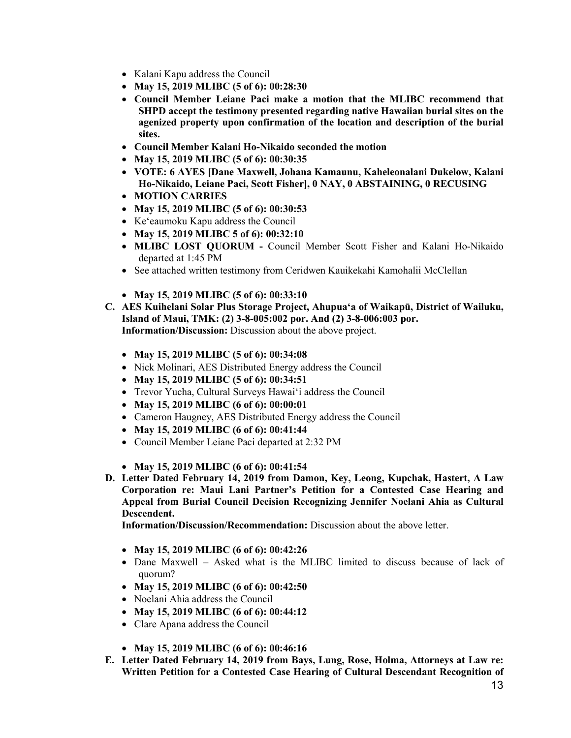- Kalani Kapu address the Council
- **May 15, 2019 MLIBC (5 of 6): 00:28:30**
- **Council Member Leiane Paci make a motion that the MLIBC recommend that SHPD accept the testimony presented regarding native Hawaiian burial sites on the agenized property upon confirmation of the location and description of the burial sites.**
- **Council Member Kalani Ho-Nikaido seconded the motion**
- **May 15, 2019 MLIBC (5 of 6): 00:30:35**
- **VOTE: 6 AYES [Dane Maxwell, Johana Kamaunu, Kaheleonalani Dukelow, Kalani Ho-Nikaido, Leiane Paci, Scott Fisher], 0 NAY, 0 ABSTAINING, 0 RECUSING**
- **MOTION CARRIES**
- **May 15, 2019 MLIBC (5 of 6): 00:30:53**
- Keʻeaumoku Kapu address the Council
- **May 15, 2019 MLIBC 5 of 6): 00:32:10**
- **MLIBC LOST QUORUM -** Council Member Scott Fisher and Kalani Ho-Nikaido departed at 1:45 PM
- See attached written testimony from Ceridwen Kauikekahi Kamohalii McClellan
- **May 15, 2019 MLIBC (5 of 6): 00:33:10**
- **C. AES Kuihelani Solar Plus Storage Project, Ahupuaʻa of Waikapū, District of Wailuku, Island of Maui, TMK: (2) 3-8-005:002 por. And (2) 3-8-006:003 por. Information/Discussion:** Discussion about the above project.
	- **May 15, 2019 MLIBC (5 of 6): 00:34:08**
	- Nick Molinari, AES Distributed Energy address the Council
	- **May 15, 2019 MLIBC (5 of 6): 00:34:51**
	- Trevor Yucha, Cultural Surveys Hawaiʻi address the Council
	- **May 15, 2019 MLIBC (6 of 6): 00:00:01**
	- Cameron Haugney, AES Distributed Energy address the Council
	- **May 15, 2019 MLIBC (6 of 6): 00:41:44**
	- Council Member Leiane Paci departed at 2:32 PM
	- **May 15, 2019 MLIBC (6 of 6): 00:41:54**
- **D. Letter Dated February 14, 2019 from Damon, Key, Leong, Kupchak, Hastert, A Law Corporation re: Maui Lani Partner's Petition for a Contested Case Hearing and Appeal from Burial Council Decision Recognizing Jennifer Noelani Ahia as Cultural Descendent.**

**Information/Discussion/Recommendation:** Discussion about the above letter.

- **May 15, 2019 MLIBC (6 of 6): 00:42:26**
- Dane Maxwell Asked what is the MLIBC limited to discuss because of lack of quorum?
- **May 15, 2019 MLIBC (6 of 6): 00:42:50**
- Noelani Ahia address the Council
- **May 15, 2019 MLIBC (6 of 6): 00:44:12**
- Clare Apana address the Council
- **May 15, 2019 MLIBC (6 of 6): 00:46:16**
- **E. Letter Dated February 14, 2019 from Bays, Lung, Rose, Holma, Attorneys at Law re: Written Petition for a Contested Case Hearing of Cultural Descendant Recognition of**